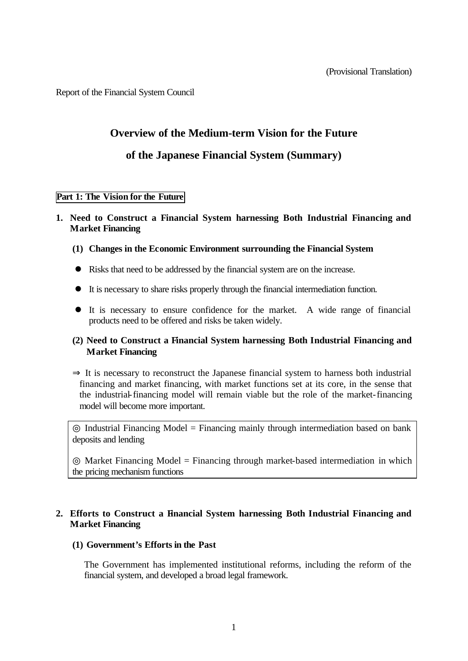Report of the Financial System Council

# **Overview of the Medium-term Vision for the Future**

# **of the Japanese Financial System (Summary)**

## **Part 1: The Vision for the Future**

## **1. Need to Construct a Financial System harnessing Both Industrial Financing and Market Financing**

- **(1) Changes in the Economic Environment surrounding the Financial System**
- Risks that need to be addressed by the financial system are on the increase.
- l It is necessary to share risks properly through the financial intermediation function.
- l It is necessary to ensure confidence for the market. A wide range of financial products need to be offered and risks be taken widely.

## **(2) Need to Construct a Financial System harnessing Both Industrial Financing and Market Financing**

 It is necessary to reconstruct the Japanese financial system to harness both industrial financing and market financing, with market functions set at its core, in the sense that the industrial-financing model will remain viable but the role of the market-financing model will become more important.

Industrial Financing Model = Financing mainly through intermediation based on bank deposits and lending

Market Financing Model = Financing through market-based intermediation in which the pricing mechanism functions

## **2. Efforts to Construct a Financial System harnessing Both Industrial Financing and Market Financing**

## **(1) Government's Efforts in the Past**

The Government has implemented institutional reforms, including the reform of the financial system, and developed a broad legal framework.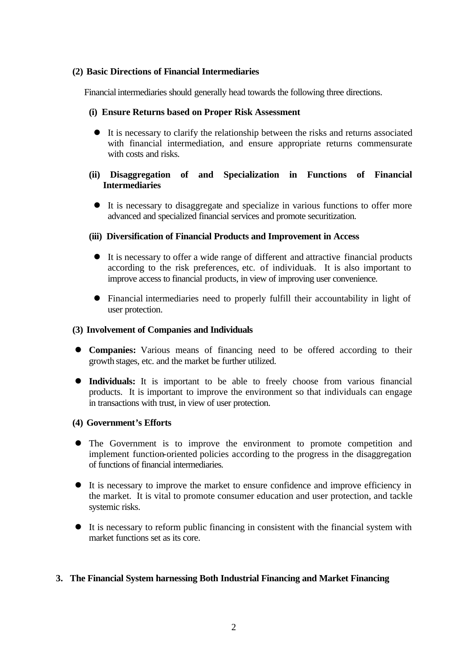## **(2) Basic Directions of Financial Intermediaries**

Financial intermediaries should generally head towards the following three directions.

#### **(i) Ensure Returns based on Proper Risk Assessment**

 $\bullet$  It is necessary to clarify the relationship between the risks and returns associated with financial intermediation, and ensure appropriate returns commensurate with costs and risks.

## **(ii) Disaggregation of and Specialization in Functions of Financial Intermediaries**

• It is necessary to disaggregate and specialize in various functions to offer more advanced and specialized financial services and promote securitization.

## **(iii) Diversification of Financial Products and Improvement in Access**

- It is necessary to offer a wide range of different and attractive financial products according to the risk preferences, etc. of individuals. It is also important to improve access to financial products, in view of improving user convenience.
- Financial intermediaries need to properly fulfill their accountability in light of user protection.

#### **(3) Involvement of Companies and Individuals**

- **Companies:** Various means of financing need to be offered according to their growth stages, etc. and the market be further utilized.
- **Individuals:** It is important to be able to freely choose from various financial products. It is important to improve the environment so that individuals can engage in transactions with trust, in view of user protection.

#### **(4) Government's Efforts**

- The Government is to improve the environment to promote competition and implement function-oriented policies according to the progress in the disaggregation of functions of financial intermediaries.
- It is necessary to improve the market to ensure confidence and improve efficiency in the market. It is vital to promote consumer education and user protection, and tackle systemic risks.
- $\bullet$  It is necessary to reform public financing in consistent with the financial system with market functions set as its core.

## **3. The Financial System harnessing Both Industrial Financing and Market Financing**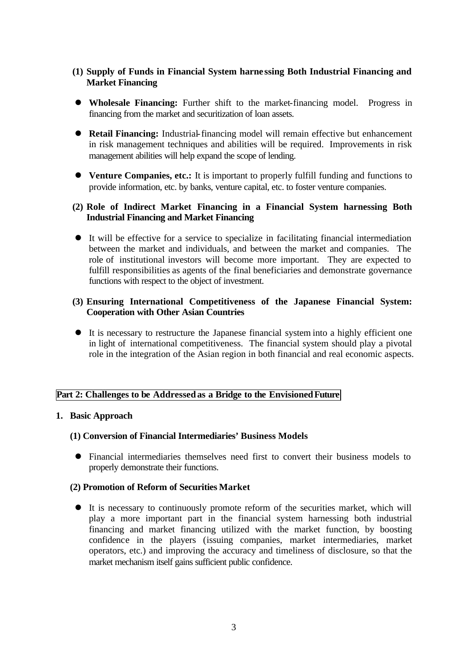- **(1) Supply of Funds in Financial System harne ssing Both Industrial Financing and Market Financing**
- **Wholesale Financing:** Further shift to the market-financing model. Progress in financing from the market and securitization of loan assets.
- **Retail Financing:** Industrial-financing model will remain effective but enhancement in risk management techniques and abilities will be required. Improvements in risk management abilities will help expand the scope of lending.
- **Venture Companies, etc.:** It is important to properly fulfill funding and functions to provide information, etc. by banks, venture capital, etc. to foster venture companies.

## **(2) Role of Indirect Market Financing in a Financial System harnessing Both Industrial Financing and Market Financing**

 $\bullet$  It will be effective for a service to specialize in facilitating financial intermediation between the market and individuals, and between the market and companies. The role of institutional investors will become more important. They are expected to fulfill responsibilities as agents of the final beneficiaries and demonstrate governance functions with respect to the object of investment.

## **(3) Ensuring International Competitiveness of the Japanese Financial System: Cooperation with Other Asian Countries**

• It is necessary to restructure the Japanese financial system into a highly efficient one in light of international competitiveness. The financial system should play a pivotal role in the integration of the Asian region in both financial and real economic aspects.

## **Part 2: Challenges to be Addressedas a Bridge to the EnvisionedFuture**

## **1. Basic Approach**

## **(1) Conversion of Financial Intermediaries' Business Models**

l Financial intermediaries themselves need first to convert their business models to properly demonstrate their functions.

## **(2) Promotion of Reform of Securities Market**

l It is necessary to continuously promote reform of the securities market, which will play a more important part in the financial system harnessing both industrial financing and market financing utilized with the market function, by boosting confidence in the players (issuing companies, market intermediaries, market operators, etc.) and improving the accuracy and timeliness of disclosure, so that the market mechanism itself gains sufficient public confidence.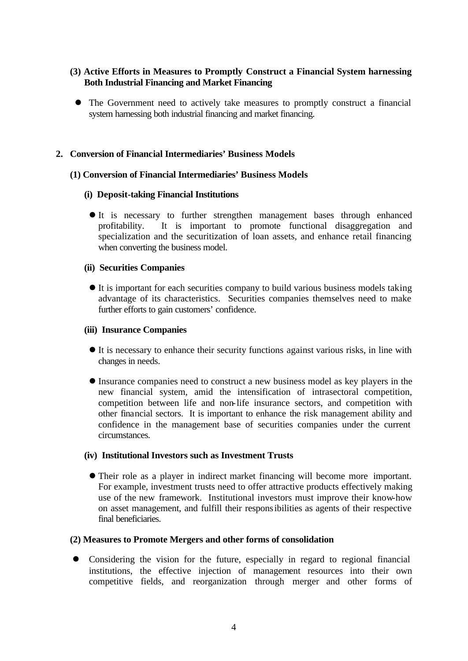# **(3) Active Efforts in Measures to Promptly Construct a Financial System harnessing Both Industrial Financing and Market Financing**

• The Government need to actively take measures to promptly construct a financial system harnessing both industrial financing and market financing.

## **2. Conversion of Financial Intermediaries' Business Models**

## **(1) Conversion of Financial Intermediaries' Business Models**

## **(i) Deposit-taking Financial Institutions**

It is necessary to further strengthen management bases through enhanced profitability. It is important to promote functional disaggregation and specialization and the securitization of loan assets, and enhance retail financing when converting the business model.

## **(ii) Securities Companies**

l It is important for each securities company to build various business models taking advantage of its characteristics. Securities companies themselves need to make further efforts to gain customers' confidence.

## **(iii) Insurance Companies**

- It is necessary to enhance their security functions against various risks, in line with changes in needs.
- l Insurance companies need to construct a new business model as key players in the new financial system, amid the intensification of intrasectoral competition, competition between life and non-life insurance sectors, and competition with other financial sectors. It is important to enhance the risk management ability and confidence in the management base of securities companies under the current circumstances.

## **(iv) Institutional Investors such as Investment Trusts**

l Their role as a player in indirect market financing will become more important. For example, investment trusts need to offer attractive products effectively making use of the new framework. Institutional investors must improve their know-how on asset management, and fulfill their responsibilities as agents of their respective final beneficiaries.

## **(2) Measures to Promote Mergers and other forms of consolidation**

Considering the vision for the future, especially in regard to regional financial institutions, the effective injection of management resources into their own competitive fields, and reorganization through merger and other forms of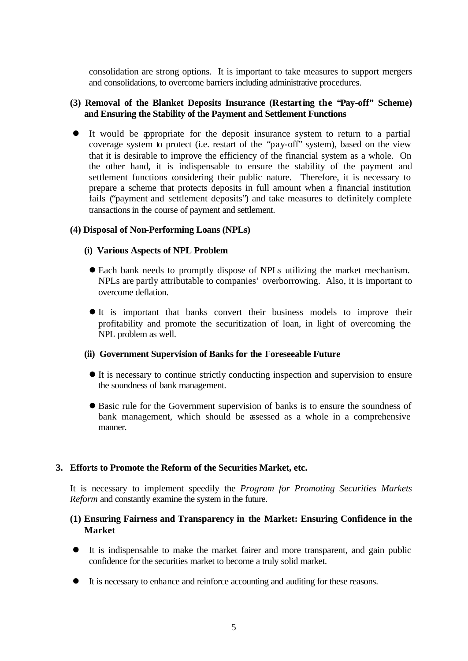consolidation are strong options. It is important to take measures to support mergers and consolidations, to overcome barriers including administrative procedures.

## **(3) Removal of the Blanket Deposits Insurance (Restarting the "Pay-off" Scheme) and Ensuring the Stability of the Payment and Settlement Functions**

It would be appropriate for the deposit insurance system to return to a partial coverage system to protect (i.e. restart of the "pay-off" system), based on the view that it is desirable to improve the efficiency of the financial system as a whole. On the other hand, it is indispensable to ensure the stability of the payment and settlement functions considering their public nature. Therefore, it is necessary to prepare a scheme that protects deposits in full amount when a financial institution fails ("payment and settlement deposits") and take measures to definitely complete transactions in the course of payment and settlement.

## **(4) Disposal of Non-Performing Loans (NPLs)**

#### **(i) Various Aspects of NPL Problem**

- l Each bank needs to promptly dispose of NPLs utilizing the market mechanism. NPLs are partly attributable to companies' overborrowing. Also, it is important to overcome deflation.
- $\bullet$  It is important that banks convert their business models to improve their profitability and promote the securitization of loan, in light of overcoming the NPL problem as well.

#### **(ii) Government Supervision of Banks for the Foreseeable Future**

- $\bullet$  It is necessary to continue strictly conducting inspection and supervision to ensure the soundness of bank management.
- l Basic rule for the Government supervision of banks is to ensure the soundness of bank management, which should be assessed as a whole in a comprehensive manner.

## **3. Efforts to Promote the Reform of the Securities Market, etc.**

It is necessary to implement speedily the *Program for Promoting Securities Markets Reform* and constantly examine the system in the future.

## **(1) Ensuring Fairness and Transparency in the Market: Ensuring Confidence in the Market**

- l It is indispensable to make the market fairer and more transparent, and gain public confidence for the securities market to become a truly solid market.
- $\bullet$  It is necessary to enhance and reinforce accounting and auditing for these reasons.